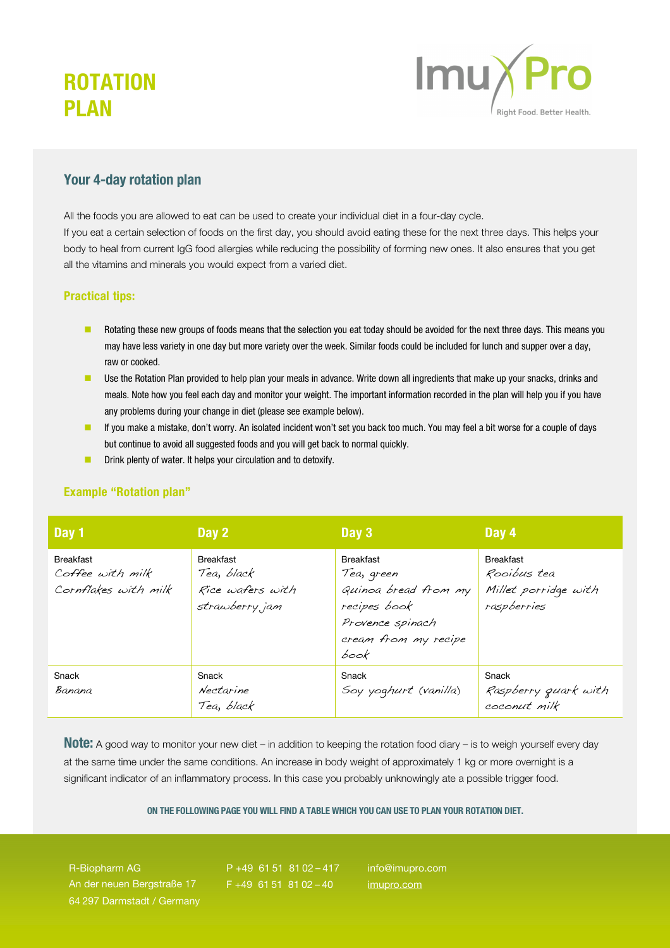# **ROTATION PI AN**



### Your 4-day rotation plan

All the foods you are allowed to eat can be used to create your individual diet in a four-day cycle. If you eat a certain selection of foods on the first day, you should avoid eating these for the next three days. This helps your body to heal from current IgG food allergies while reducing the possibility of forming new ones. It also ensures that you get all the vitamins and minerals you would expect from a varied diet.

### Practical tips:

- **Rotating these new groups of foods means that the selection you eat today should be avoided for the next three days. This means you** may have less variety in one day but more variety over the week. Similar foods could be included for lunch and supper over a day, raw or cooked.
- Use the Rotation Plan provided to help plan your meals in advance. Write down all ingredients that make up your snacks, drinks and meals. Note how you feel each day and monitor your weight. The important information recorded in the plan will help you if you have any problems during your change in diet (please see example below).
- **If** you make a mistake, don't worry. An isolated incident won't set you back too much. You may feel a bit worse for a couple of days but continue to avoid all suggested foods and you will get back to normal quickly.
- **Drink plenty of water. It helps your circulation and to detoxify.**

#### Example "Rotation plan"

| Day 1                                                        | Day 2                                                                 | Day 3                                                                                                                      | Day 4                                                                  |
|--------------------------------------------------------------|-----------------------------------------------------------------------|----------------------------------------------------------------------------------------------------------------------------|------------------------------------------------------------------------|
| <b>Breakfast</b><br>Coffee with milk<br>Cornflakes with milk | <b>Breakfast</b><br>Tea, black<br>Rice wafers with<br>strawberry, jam | <b>Breakfast</b><br>Tea, green<br>Quinoa bread from my<br>recipes book<br>Provence spinach<br>cream from my recipe<br>book | <b>Breakfast</b><br>Rooibus tea<br>Millet porridge with<br>raspberries |
| Snack<br>Banana                                              | Snack<br>Nectarine<br>Tea, black                                      | Snack<br>Soy yoghurt (vanilla)                                                                                             | Snack<br>Raspberry guark with<br>coconut milk                          |

Note: A good way to monitor your new diet – in addition to keeping the rotation food diary – is to weigh yourself every day at the same time under the same conditions. An increase in body weight of approximately 1 kg or more overnight is a significant indicator of an inflammatory process. In this case you probably unknowingly ate a possible trigger food.

#### ON THE FOLLOWING PAGE YOU WILL FIND A TABLE WHICH YOU CAN USE TO PLAN YOUR ROTATION DIET.

R-Biopharm AG An der neuen Bergstraße 17 64 297 Darmstadt / Germany

P +49 61 51 81 02 – 417  $F + 49$  61 51 81 02 - 40

info@imupro.com imupro.com